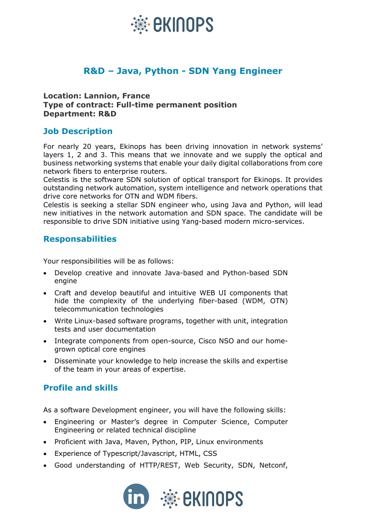

# **R&D – Java, Python - SDN Yang Engineer**

#### **Location: Lannion, France Type of contract: Full-time permanent position Department: R&D**

### **Job Description**

For nearly 20 years, Ekinops has been driving innovation in network systems' layers 1, 2 and 3. This means that we innovate and we supply the optical and business networking systems that enable your daily digital collaborations from core network fibers to enterprise routers.

Celestis is the software SDN solution of optical transport for Ekinops. It provides outstanding network automation, system intelligence and network operations that drive core networks for OTN and WDM fibers.

Celestis is seeking a stellar SDN engineer who, using Java and Python, will lead new initiatives in the network automation and SDN space. The candidate will be responsible to drive SDN initiative using Yang-based modern micro-services.

#### **Responsabilities**

Your responsibilities will be as follows:

- Develop creative and innovate Java-based and Python-based SDN engine
- Craft and develop beautiful and intuitive WEB UI components that hide the complexity of the underlying fiber-based (WDM, OTN) telecommunication technologies
- Write Linux-based software programs, together with unit, integration tests and user documentation
- Integrate components from open-source, Cisco NSO and our homegrown optical core engines
- Disseminate your knowledge to help increase the skills and expertise of the team in your areas of expertise.

## **Profile and skills**

As a software Development engineer, you will have the following skills:

- Engineering or Master's degree in Computer Science, Computer Engineering or related technical discipline
- Proficient with Java, Maven, Python, PIP, Linux environments
- Experience of Typescript/Javascript, HTML, CSS
- Good understanding of HTTP/REST, Web Security, SDN, Netconf,